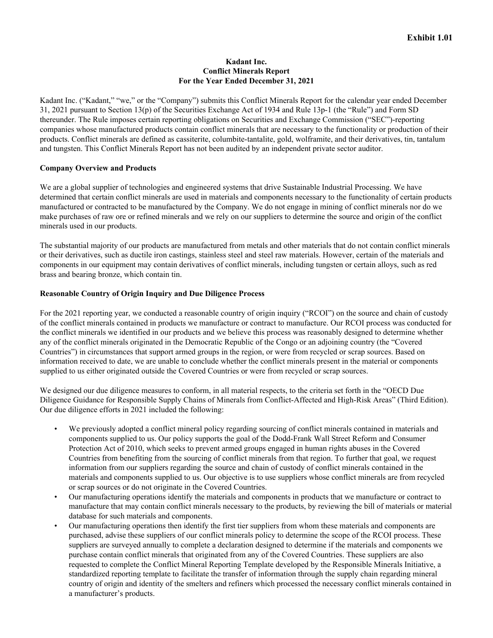### **Kadant Inc. Conflict Minerals Report For the Year Ended December 31, 2021**

Kadant Inc. ("Kadant," "we," or the "Company") submits this Conflict Minerals Report for the calendar year ended December 31, 2021 pursuant to Section 13(p) of the Securities Exchange Act of 1934 and Rule 13p-1 (the "Rule") and Form SD thereunder. The Rule imposes certain reporting obligations on Securities and Exchange Commission ("SEC")-reporting companies whose manufactured products contain conflict minerals that are necessary to the functionality or production of their products. Conflict minerals are defined as cassiterite, columbite-tantalite, gold, wolframite, and their derivatives, tin, tantalum and tungsten. This Conflict Minerals Report has not been audited by an independent private sector auditor.

### **Company Overview and Products**

We are a global supplier of technologies and engineered systems that drive Sustainable Industrial Processing. We have determined that certain conflict minerals are used in materials and components necessary to the functionality of certain products manufactured or contracted to be manufactured by the Company. We do not engage in mining of conflict minerals nor do we make purchases of raw ore or refined minerals and we rely on our suppliers to determine the source and origin of the conflict minerals used in our products.

The substantial majority of our products are manufactured from metals and other materials that do not contain conflict minerals or their derivatives, such as ductile iron castings, stainless steel and steel raw materials. However, certain of the materials and components in our equipment may contain derivatives of conflict minerals, including tungsten or certain alloys, such as red brass and bearing bronze, which contain tin.

### **Reasonable Country of Origin Inquiry and Due Diligence Process**

For the 2021 reporting year, we conducted a reasonable country of origin inquiry ("RCOI") on the source and chain of custody of the conflict minerals contained in products we manufacture or contract to manufacture. Our RCOI process was conducted for the conflict minerals we identified in our products and we believe this process was reasonably designed to determine whether any of the conflict minerals originated in the Democratic Republic of the Congo or an adjoining country (the "Covered Countries") in circumstances that support armed groups in the region, or were from recycled or scrap sources. Based on information received to date, we are unable to conclude whether the conflict minerals present in the material or components supplied to us either originated outside the Covered Countries or were from recycled or scrap sources.

We designed our due diligence measures to conform, in all material respects, to the criteria set forth in the "OECD Due Diligence Guidance for Responsible Supply Chains of Minerals from Conflict-Affected and High-Risk Areas" (Third Edition). Our due diligence efforts in 2021 included the following:

- We previously adopted a conflict mineral policy regarding sourcing of conflict minerals contained in materials and components supplied to us. Our policy supports the goal of the Dodd-Frank Wall Street Reform and Consumer Protection Act of 2010, which seeks to prevent armed groups engaged in human rights abuses in the Covered Countries from benefiting from the sourcing of conflict minerals from that region. To further that goal, we request information from our suppliers regarding the source and chain of custody of conflict minerals contained in the materials and components supplied to us. Our objective is to use suppliers whose conflict minerals are from recycled or scrap sources or do not originate in the Covered Countries.
- Our manufacturing operations identify the materials and components in products that we manufacture or contract to manufacture that may contain conflict minerals necessary to the products, by reviewing the bill of materials or material database for such materials and components.
- Our manufacturing operations then identify the first tier suppliers from whom these materials and components are purchased, advise these suppliers of our conflict minerals policy to determine the scope of the RCOI process. These suppliers are surveyed annually to complete a declaration designed to determine if the materials and components we purchase contain conflict minerals that originated from any of the Covered Countries. These suppliers are also requested to complete the Conflict Mineral Reporting Template developed by the Responsible Minerals Initiative, a standardized reporting template to facilitate the transfer of information through the supply chain regarding mineral country of origin and identity of the smelters and refiners which processed the necessary conflict minerals contained in a manufacturer's products.